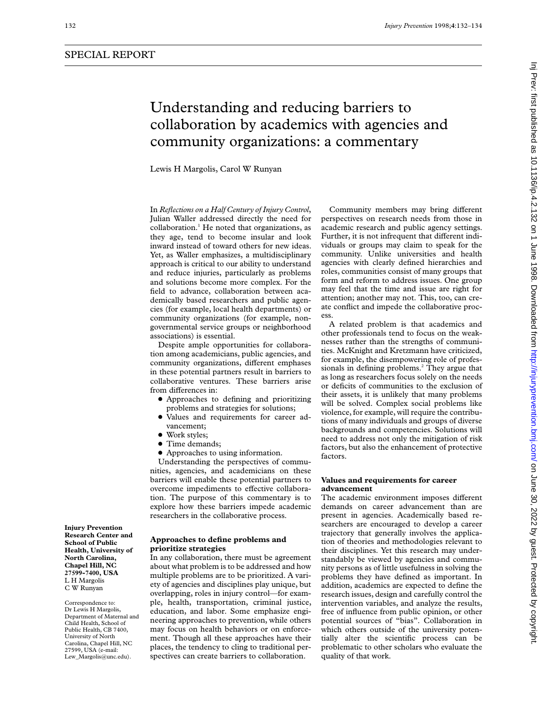# Understanding and reducing barriers to collaboration by academics with agencies and community organizations: a commentary Lewis H Margolis, Carol W Runyan

In *Reflections on a Half Century of Injury Control*, Julian Waller addressed directly the need for  $collaboration<sup>1</sup>$  He noted that organizations, as they age, tend to become insular and look inward instead of toward others for new ideas. Yet, as Waller emphasizes, a multidisciplinary approach is critical to our ability to understand and reduce injuries, particularly as problems and solutions become more complex. For the field to advance, collaboration between academically based researchers and public agencies (for example, local health departments) or community organizations (for example, nongovernmental service groups or neighborhood associations) is essential.

Despite ample opportunities for collaboration among academicians, public agencies, and community organizations, different emphases in these potential partners result in barriers to collaborative ventures. These barriers arise from differences in:

- Approaches to defining and prioritizing problems and strategies for solutions;
- Values and requirements for career advancement;
- Work styles;
- Time demands;
- Approaches to using information.

Understanding the perspectives of communities, agencies, and academicians on these barriers will enable these potential partners to overcome impediments to effective collaboration. The purpose of this commentary is to explore how these barriers impede academic researchers in the collaborative process.

# **Approaches to define problems and prioritize strategies**

In any collaboration, there must be agreement about what problem is to be addressed and how multiple problems are to be prioritized. A variety of agencies and disciplines play unique, but overlapping, roles in injury control—for example, health, transportation, criminal justice, education, and labor. Some emphasize engineering approaches to prevention, while others may focus on health behaviors or on enforcement. Though all these approaches have their places, the tendency to cling to traditional perspectives can create barriers to collaboration.

Community members may bring different perspectives on research needs from those in academic research and public agency settings. Further, it is not infrequent that different individuals or groups may claim to speak for the community. Unlike universities and health agencies with clearly defined hierarchies and roles, communities consist of many groups that form and reform to address issues. One group may feel that the time and issue are right for attention; another may not. This, too, can create conflict and impede the collaborative process.

A related problem is that academics and other professionals tend to focus on the weaknesses rather than the strengths of communities. McKnight and Kretzmann have criticized, for example, the disempowering role of professionals in defining problems.<sup>2</sup> They argue that as long as researchers focus solely on the needs or deficits of communities to the exclusion of their assets, it is unlikely that many problems will be solved. Complex social problems like violence, for example, will require the contributions of many individuals and groups of diverse backgrounds and competencies. Solutions will need to address not only the mitigation of risk factors, but also the enhancement of protective factors.

### **Values and requirements for career advancement**

The academic environment imposes different demands on career advancement than are present in agencies. Academically based researchers are encouraged to develop a career trajectory that generally involves the application of theories and methodologies relevant to their disciplines. Yet this research may understandably be viewed by agencies and community persons as of little usefulness in solving the problems they have defined as important. In addition, academics are expected to define the research issues, design and carefully control the intervention variables, and analyze the results, free of influence from public opinion, or other potential sources of "bias". Collaboration in which others outside of the university potentially alter the scientific process can be problematic to other scholars who evaluate the quality of that work.

**Injury Prevention Research Center and School of Public Health, University of North Carolina, Chapel Hill, NC 27599-7400, USA** L H Margolis C W Runyan

Correspondence to: Dr Lewis H Margolis, Department of Maternal and Child Health, School of Public Health, CB 7400, University of North Carolina, Chapel Hill, NC 27599, USA (e-mail: Lew\_Margolis@unc.edu).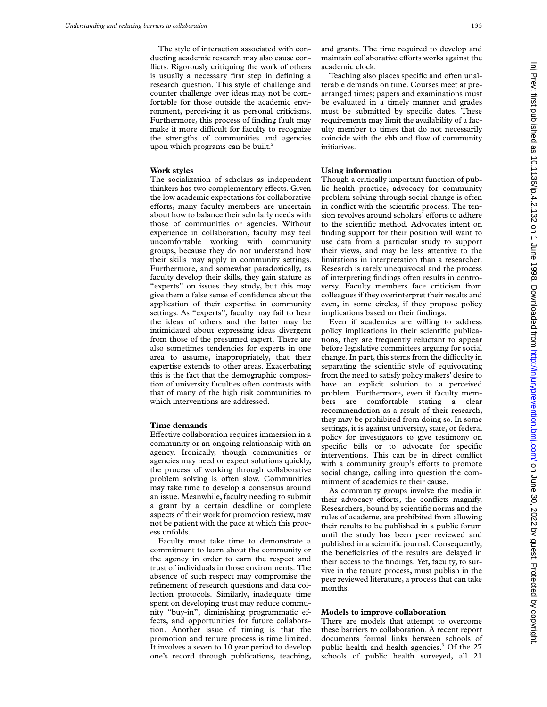The style of interaction associated with conducting academic research may also cause conflicts. Rigorously critiquing the work of others is usually a necessary first step in defining a research question. This style of challenge and counter challenge over ideas may not be comfortable for those outside the academic environment, perceiving it as personal criticisms. Furthermore, this process of finding fault may make it more difficult for faculty to recognize the strengths of communities and agencies upon which programs can be built.<sup>2</sup>

## **Work styles**

The socialization of scholars as independent thinkers has two complementary effects. Given the low academic expectations for collaborative efforts, many faculty members are uncertain about how to balance their scholarly needs with those of communities or agencies. Without experience in collaboration, faculty may feel uncomfortable working with community groups, because they do not understand how their skills may apply in community settings. Furthermore, and somewhat paradoxically, as faculty develop their skills, they gain stature as "experts" on issues they study, but this may give them a false sense of confidence about the application of their expertise in community settings. As "experts", faculty may fail to hear the ideas of others and the latter may be intimidated about expressing ideas divergent from those of the presumed expert. There are also sometimes tendencies for experts in one area to assume, inappropriately, that their expertise extends to other areas. Exacerbating this is the fact that the demographic composition of university faculties often contrasts with that of many of the high risk communities to which interventions are addressed.

#### **Time demands**

Effective collaboration requires immersion in a community or an ongoing relationship with an agency. Ironically, though communities or agencies may need or expect solutions quickly, the process of working through collaborative problem solving is often slow. Communities may take time to develop a consensus around an issue. Meanwhile, faculty needing to submit a grant by a certain deadline or complete aspects of their work for promotion review, may not be patient with the pace at which this process unfolds.

Faculty must take time to demonstrate a commitment to learn about the community or the agency in order to earn the respect and trust of individuals in those environments. The absence of such respect may compromise the refinement of research questions and data collection protocols. Similarly, inadequate time spent on developing trust may reduce community "buy-in", diminishing programmatic effects, and opportunities for future collaboration. Another issue of timing is that the promotion and tenure process is time limited. It involves a seven to 10 year period to develop one's record through publications, teaching,

and grants. The time required to develop and maintain collaborative efforts works against the academic clock.

Teaching also places specific and often unalterable demands on time. Courses meet at prearranged times; papers and examinations must be evaluated in a timely manner and grades must be submitted by specific dates. These requirements may limit the availability of a faculty member to times that do not necessarily coincide with the ebb and flow of community initiatives.

## **Using information**

Though a critically important function of public health practice, advocacy for community problem solving through social change is often in conflict with the scientific process. The tension revolves around scholars<sup>7</sup> efforts to adhere to the scientific method. Advocates intent on finding support for their position will want to use data from a particular study to support their views, and may be less attentive to the limitations in interpretation than a researcher. Research is rarely unequivocal and the process of interpreting findings often results in controversy. Faculty members face criticism from colleagues if they overinterpret their results and even, in some circles, if they propose policy implications based on their findings.

Even if academics are willing to address policy implications in their scientific publications, they are frequently reluctant to appear before legislative committees arguing for social change. In part, this stems from the difficulty in separating the scientific style of equivocating from the need to satisfy policy makers' desire to have an explicit solution to a perceived problem. Furthermore, even if faculty members are comfortable stating a clear recommendation as a result of their research, they may be prohibited from doing so. In some settings, it is against university, state, or federal policy for investigators to give testimony on specific bills or to advocate for specific interventions. This can be in direct conflict with a community group's efforts to promote social change, calling into question the commitment of academics to their cause.

As community groups involve the media in their advocacy efforts, the conflicts magnify. Researchers, bound by scientific norms and the rules of academe, are prohibited from allowing their results to be published in a public forum until the study has been peer reviewed and published in a scientific journal. Consequently, the beneficiaries of the results are delayed in their access to the findings. Yet, faculty, to survive in the tenure process, must publish in the peer reviewed literature, a process that can take months.

#### **Models to improve collaboration**

There are models that attempt to overcome these barriers to collaboration. A recent report documents formal links between schools of public health and health agencies.<sup>3</sup> Of the 27 schools of public health surveyed, all 21